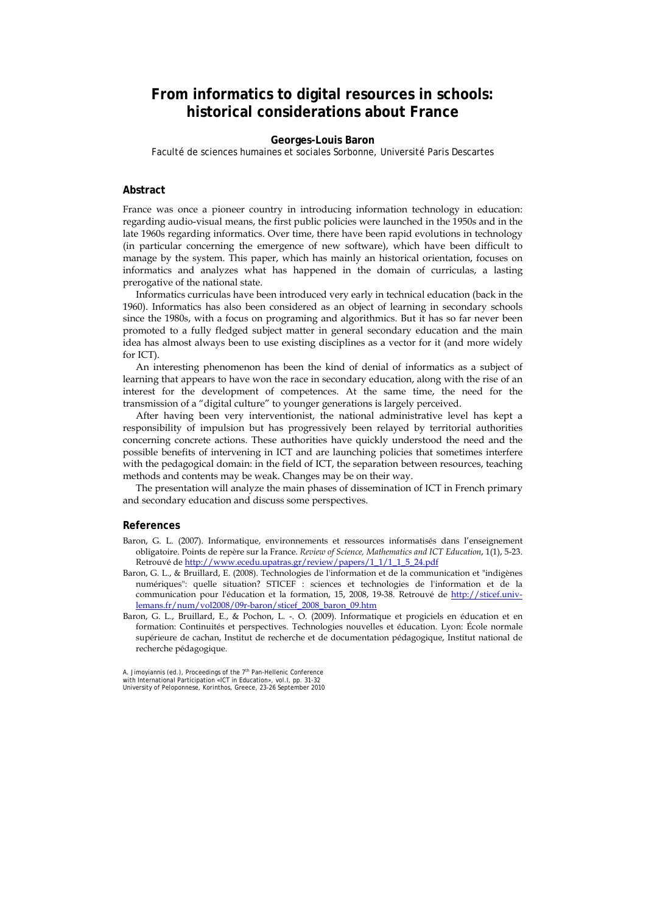## **From informatics to digital resources in schools: historical considerations about France**

## **Georges-Louis Baron**

Faculté de sciences humaines et sociales Sorbonne, Université Paris Descartes

## **Abstract**

France was once a pioneer country in introducing information technology in education: regarding audio-visual means, the first public policies were launched in the 1950s and in the late 1960s regarding informatics. Over time, there have been rapid evolutions in technology (in particular concerning the emergence of new software), which have been difficult to manage by the system. This paper, which has mainly an historical orientation, focuses on informatics and analyzes what has happened in the domain of curriculas, a lasting prerogative of the national state.

Informatics curriculas have been introduced very early in technical education (back in the 1960). Informatics has also been considered as an object of learning in secondary schools since the 1980s, with a focus on programing and algorithmics. But it has so far never been promoted to a fully fledged subject matter in general secondary education and the main idea has almost always been to use existing disciplines as a vector for it (and more widely for ICT).

An interesting phenomenon has been the kind of denial of informatics as a subject of learning that appears to have won the race in secondary education, along with the rise of an interest for the development of competences. At the same time, the need for the transmission of a "digital culture" to younger generations is largely perceived.

After having been very interventionist, the national administrative level has kept a responsibility of impulsion but has progressively been relayed by territorial authorities concerning concrete actions. These authorities have quickly understood the need and the possible benefits of intervening in ICT and are launching policies that sometimes interfere with the pedagogical domain: in the field of ICT, the separation between resources, teaching methods and contents may be weak. Changes may be on their way.

The presentation will analyze the main phases of dissemination of ICT in French primary and secondary education and discuss some perspectives.

## **References**

- Baron, G. L. (2007). Informatique, environnements et ressources informatisés dans l'enseignement obligatoire. Points de repère sur la France. *Review of Science, Mathematics and ICT Education*, 1(1), 5-23. Retrouvé de http://www.ecedu.upatras.gr/review/papers/1\_1/1\_1\_5\_24.pdf
- Baron, G. L., & Bruillard, E. (2008). Technologies de l'information et de la communication et "indigènes numériques": quelle situation? STICEF : sciences et technologies de l'information et de la communication pour l'éducation et la formation, 15, 2008, 19-38. Retrouvé de http://sticef.univlemans.fr/num/vol2008/09r-baron/sticef\_2008\_baron\_09.htm
- Baron, G. L., Bruillard, E., & Pochon, L. -. O. (2009). Informatique et progiciels en éducation et en formation: Continuités et perspectives. Technologies nouvelles et éducation. Lyon: École normale supérieure de cachan, Institut de recherche et de documentation pédagogique, Institut national de recherche pédagogique.

A. Jimoyiannis (ed.), Proceedings of the 7<sup>th</sup> Pan-Hellenic Conference<br>with International Participation «ICT in Education», vol. I, pp. 31-32 University of Peloponnese, Korinthos, Greece, 23-26 September 2010